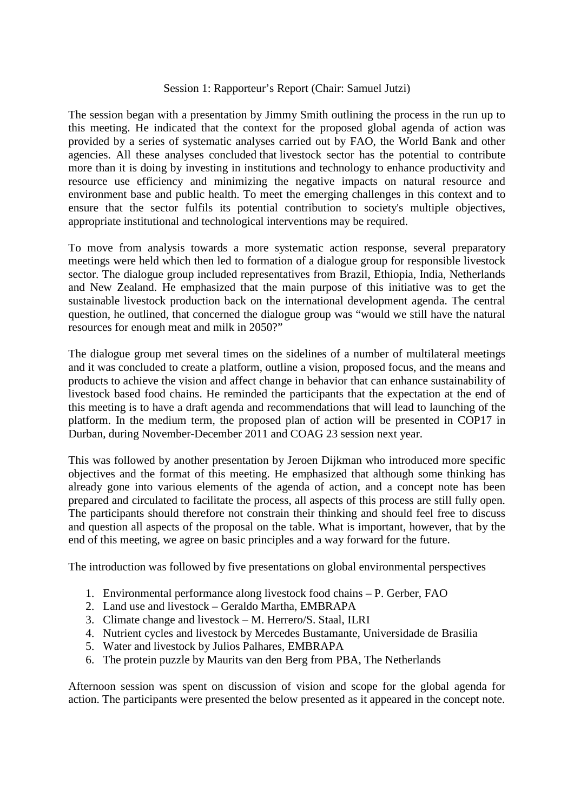## Session 1: Rapporteur's Report (Chair: Samuel Jutzi)

The session began with a presentation by Jimmy Smith outlining the process in the run up to this meeting. He indicated that the context for the proposed global agenda of action was provided by a series of systematic analyses carried out by FAO, the World Bank and other agencies. All these analyses concluded that livestock sector has the potential to contribute more than it is doing by investing in institutions and technology to enhance productivity and resource use efficiency and minimizing the negative impacts on natural resource and environment base and public health. To meet the emerging challenges in this context and to ensure that the sector fulfils its potential contribution to society's multiple objectives, appropriate institutional and technological interventions may be required.

To move from analysis towards a more systematic action response, several preparatory meetings were held which then led to formation of a dialogue group for responsible livestock sector. The dialogue group included representatives from Brazil, Ethiopia, India, Netherlands and New Zealand. He emphasized that the main purpose of this initiative was to get the sustainable livestock production back on the international development agenda. The central question, he outlined, that concerned the dialogue group was "would we still have the natural resources for enough meat and milk in 2050?"

The dialogue group met several times on the sidelines of a number of multilateral meetings and it was concluded to create a platform, outline a vision, proposed focus, and the means and products to achieve the vision and affect change in behavior that can enhance sustainability of livestock based food chains. He reminded the participants that the expectation at the end of this meeting is to have a draft agenda and recommendations that will lead to launching of the platform. In the medium term, the proposed plan of action will be presented in COP17 in Durban, during November-December 2011 and COAG 23 session next year.

This was followed by another presentation by Jeroen Dijkman who introduced more specific objectives and the format of this meeting. He emphasized that although some thinking has already gone into various elements of the agenda of action, and a concept note has been prepared and circulated to facilitate the process, all aspects of this process are still fully open. The participants should therefore not constrain their thinking and should feel free to discuss and question all aspects of the proposal on the table. What is important, however, that by the end of this meeting, we agree on basic principles and a way forward for the future.

The introduction was followed by five presentations on global environmental perspectives

- 1. Environmental performance along livestock food chains P. Gerber, FAO
- 2. Land use and livestock Geraldo Martha, EMBRAPA
- 3. Climate change and livestock M. Herrero/S. Staal, ILRI
- 4. Nutrient cycles and livestock by Mercedes Bustamante, Universidade de Brasilia
- 5. Water and livestock by Julios Palhares, EMBRAPA
- 6. The protein puzzle by Maurits van den Berg from PBA, The Netherlands

Afternoon session was spent on discussion of vision and scope for the global agenda for action. The participants were presented the below presented as it appeared in the concept note.